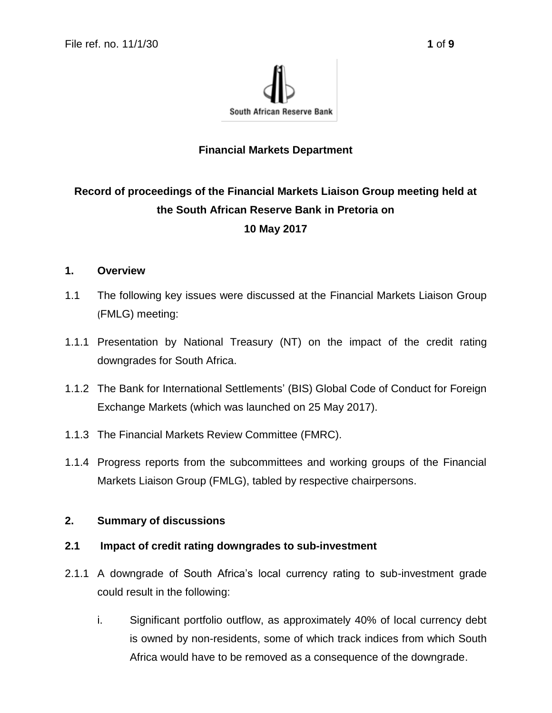

### **Financial Markets Department**

# **Record of proceedings of the Financial Markets Liaison Group meeting held at the South African Reserve Bank in Pretoria on 10 May 2017**

### **1. Overview**

- 1.1 The following key issues were discussed at the Financial Markets Liaison Group (FMLG) meeting:
- 1.1.1 Presentation by National Treasury (NT) on the impact of the credit rating downgrades for South Africa.
- 1.1.2 The Bank for International Settlements' (BIS) Global Code of Conduct for Foreign Exchange Markets (which was launched on 25 May 2017).
- 1.1.3 The Financial Markets Review Committee (FMRC).
- 1.1.4 Progress reports from the subcommittees and working groups of the Financial Markets Liaison Group (FMLG), tabled by respective chairpersons.

#### **2. Summary of discussions**

#### **2.1 Impact of credit rating downgrades to sub-investment**

- 2.1.1 A downgrade of South Africa's local currency rating to sub-investment grade could result in the following:
	- i. Significant portfolio outflow, as approximately 40% of local currency debt is owned by non-residents, some of which track indices from which South Africa would have to be removed as a consequence of the downgrade.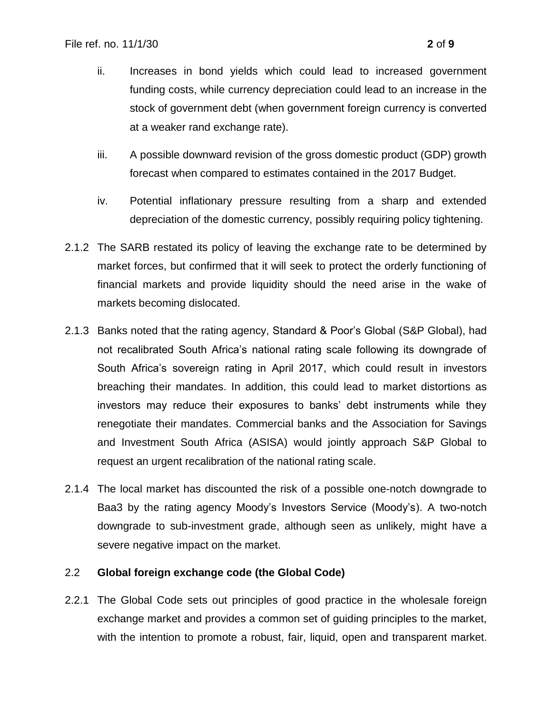- ii. Increases in bond yields which could lead to increased government funding costs, while currency depreciation could lead to an increase in the stock of government debt (when government foreign currency is converted at a weaker rand exchange rate).
- iii. A possible downward revision of the gross domestic product (GDP) growth forecast when compared to estimates contained in the 2017 Budget.
- iv. Potential inflationary pressure resulting from a sharp and extended depreciation of the domestic currency, possibly requiring policy tightening.
- 2.1.2 The SARB restated its policy of leaving the exchange rate to be determined by market forces, but confirmed that it will seek to protect the orderly functioning of financial markets and provide liquidity should the need arise in the wake of markets becoming dislocated.
- 2.1.3 Banks noted that the rating agency, Standard & Poor's Global (S&P Global), had not recalibrated South Africa's national rating scale following its downgrade of South Africa's sovereign rating in April 2017, which could result in investors breaching their mandates. In addition, this could lead to market distortions as investors may reduce their exposures to banks' debt instruments while they renegotiate their mandates. Commercial banks and the Association for Savings and Investment South Africa (ASISA) would jointly approach S&P Global to request an urgent recalibration of the national rating scale.
- 2.1.4 The local market has discounted the risk of a possible one-notch downgrade to Baa3 by the rating agency Moody's Investors Service (Moody's). A two-notch downgrade to sub-investment grade, although seen as unlikely, might have a severe negative impact on the market.

#### 2.2 **Global foreign exchange code (the Global Code)**

2.2.1 The Global Code sets out principles of good practice in the wholesale foreign exchange market and provides a common set of guiding principles to the market, with the intention to promote a robust, fair, liquid, open and transparent market.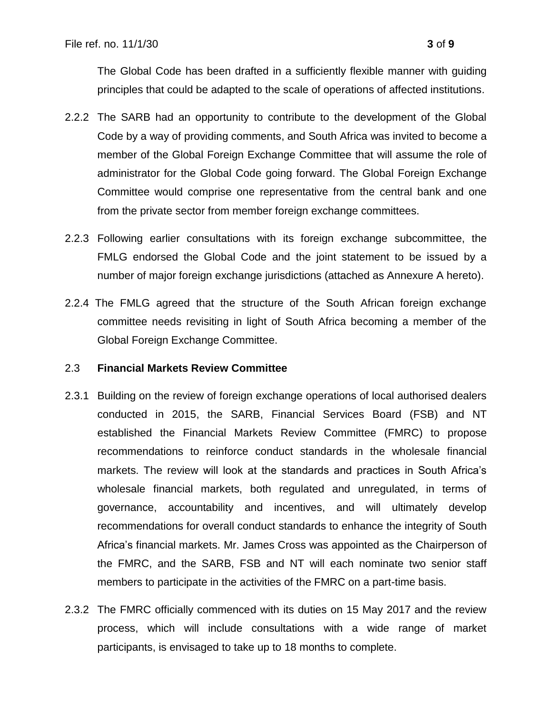The Global Code has been drafted in a sufficiently flexible manner with guiding principles that could be adapted to the scale of operations of affected institutions.

- 2.2.2 The SARB had an opportunity to contribute to the development of the Global Code by a way of providing comments, and South Africa was invited to become a member of the Global Foreign Exchange Committee that will assume the role of administrator for the Global Code going forward. The Global Foreign Exchange Committee would comprise one representative from the central bank and one from the private sector from member foreign exchange committees.
- 2.2.3 Following earlier consultations with its foreign exchange subcommittee, the FMLG endorsed the Global Code and the joint statement to be issued by a number of major foreign exchange jurisdictions (attached as Annexure A hereto).
- 2.2.4 The FMLG agreed that the structure of the South African foreign exchange committee needs revisiting in light of South Africa becoming a member of the Global Foreign Exchange Committee.

#### 2.3 **Financial Markets Review Committee**

- 2.3.1 Building on the review of foreign exchange operations of local authorised dealers conducted in 2015, the SARB, Financial Services Board (FSB) and NT established the Financial Markets Review Committee (FMRC) to propose recommendations to reinforce conduct standards in the wholesale financial markets. The review will look at the standards and practices in South Africa's wholesale financial markets, both regulated and unregulated, in terms of governance, accountability and incentives, and will ultimately develop recommendations for overall conduct standards to enhance the integrity of South Africa's financial markets. Mr. James Cross was appointed as the Chairperson of the FMRC, and the SARB, FSB and NT will each nominate two senior staff members to participate in the activities of the FMRC on a part-time basis.
- 2.3.2 The FMRC officially commenced with its duties on 15 May 2017 and the review process, which will include consultations with a wide range of market participants, is envisaged to take up to 18 months to complete.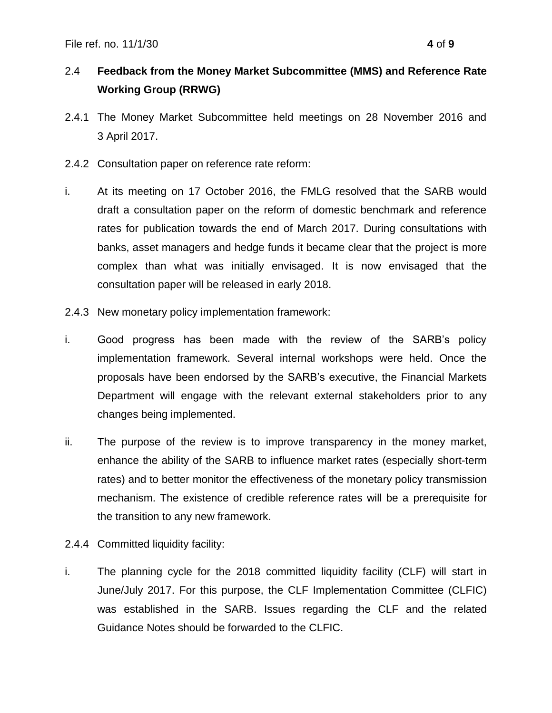## 2.4 **Feedback from the Money Market Subcommittee (MMS) and Reference Rate Working Group (RRWG)**

- 2.4.1 The Money Market Subcommittee held meetings on 28 November 2016 and 3 April 2017.
- 2.4.2 Consultation paper on reference rate reform:
- i. At its meeting on 17 October 2016, the FMLG resolved that the SARB would draft a consultation paper on the reform of domestic benchmark and reference rates for publication towards the end of March 2017. During consultations with banks, asset managers and hedge funds it became clear that the project is more complex than what was initially envisaged. It is now envisaged that the consultation paper will be released in early 2018.
- 2.4.3 New monetary policy implementation framework:
- i. Good progress has been made with the review of the SARB's policy implementation framework. Several internal workshops were held. Once the proposals have been endorsed by the SARB's executive, the Financial Markets Department will engage with the relevant external stakeholders prior to any changes being implemented.
- ii. The purpose of the review is to improve transparency in the money market, enhance the ability of the SARB to influence market rates (especially short-term rates) and to better monitor the effectiveness of the monetary policy transmission mechanism. The existence of credible reference rates will be a prerequisite for the transition to any new framework.
- 2.4.4 Committed liquidity facility:
- i. The planning cycle for the 2018 committed liquidity facility (CLF) will start in June/July 2017. For this purpose, the CLF Implementation Committee (CLFIC) was established in the SARB. Issues regarding the CLF and the related Guidance Notes should be forwarded to the CLFIC.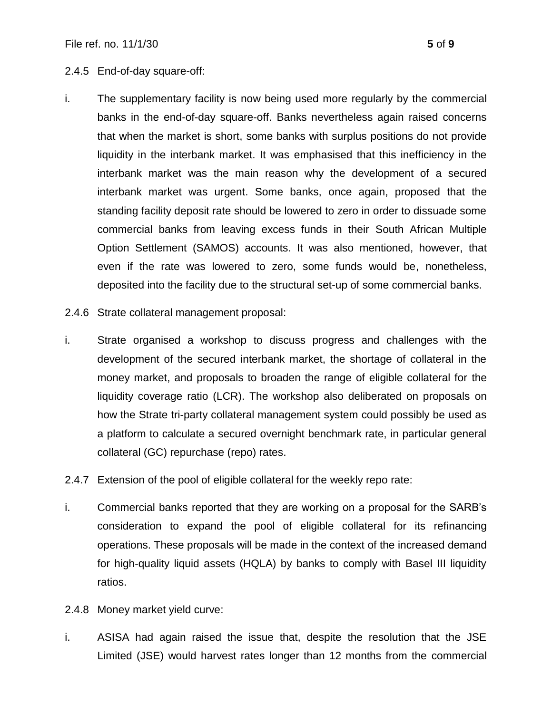#### 2.4.5 End-of-day square-off:

- i. The supplementary facility is now being used more regularly by the commercial banks in the end-of-day square-off. Banks nevertheless again raised concerns that when the market is short, some banks with surplus positions do not provide liquidity in the interbank market. It was emphasised that this inefficiency in the interbank market was the main reason why the development of a secured interbank market was urgent. Some banks, once again, proposed that the standing facility deposit rate should be lowered to zero in order to dissuade some commercial banks from leaving excess funds in their South African Multiple Option Settlement (SAMOS) accounts. It was also mentioned, however, that even if the rate was lowered to zero, some funds would be, nonetheless, deposited into the facility due to the structural set-up of some commercial banks.
- 2.4.6 Strate collateral management proposal:
- i. Strate organised a workshop to discuss progress and challenges with the development of the secured interbank market, the shortage of collateral in the money market, and proposals to broaden the range of eligible collateral for the liquidity coverage ratio (LCR). The workshop also deliberated on proposals on how the Strate tri-party collateral management system could possibly be used as a platform to calculate a secured overnight benchmark rate, in particular general collateral (GC) repurchase (repo) rates.
- 2.4.7 Extension of the pool of eligible collateral for the weekly repo rate:
- i. Commercial banks reported that they are working on a proposal for the SARB's consideration to expand the pool of eligible collateral for its refinancing operations. These proposals will be made in the context of the increased demand for high-quality liquid assets (HQLA) by banks to comply with Basel III liquidity ratios.
- 2.4.8 Money market yield curve:
- i. ASISA had again raised the issue that, despite the resolution that the JSE Limited (JSE) would harvest rates longer than 12 months from the commercial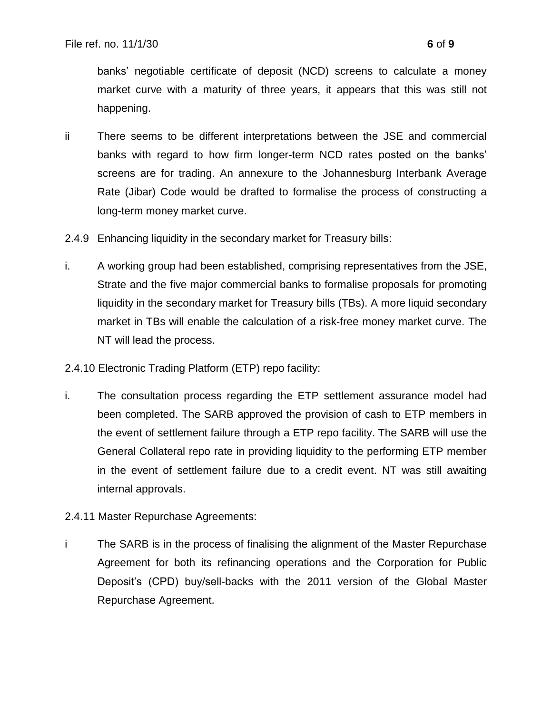banks' negotiable certificate of deposit (NCD) screens to calculate a money market curve with a maturity of three years, it appears that this was still not happening.

- ii There seems to be different interpretations between the JSE and commercial banks with regard to how firm longer-term NCD rates posted on the banks' screens are for trading. An annexure to the Johannesburg Interbank Average Rate (Jibar) Code would be drafted to formalise the process of constructing a long-term money market curve.
- 2.4.9 Enhancing liquidity in the secondary market for Treasury bills:
- i. A working group had been established, comprising representatives from the JSE, Strate and the five major commercial banks to formalise proposals for promoting liquidity in the secondary market for Treasury bills (TBs). A more liquid secondary market in TBs will enable the calculation of a risk-free money market curve. The NT will lead the process.
- 2.4.10 Electronic Trading Platform (ETP) repo facility:
- i. The consultation process regarding the ETP settlement assurance model had been completed. The SARB approved the provision of cash to ETP members in the event of settlement failure through a ETP repo facility. The SARB will use the General Collateral repo rate in providing liquidity to the performing ETP member in the event of settlement failure due to a credit event. NT was still awaiting internal approvals.
- 2.4.11 Master Repurchase Agreements:
- i The SARB is in the process of finalising the alignment of the Master Repurchase Agreement for both its refinancing operations and the Corporation for Public Deposit's (CPD) buy/sell-backs with the 2011 version of the Global Master Repurchase Agreement.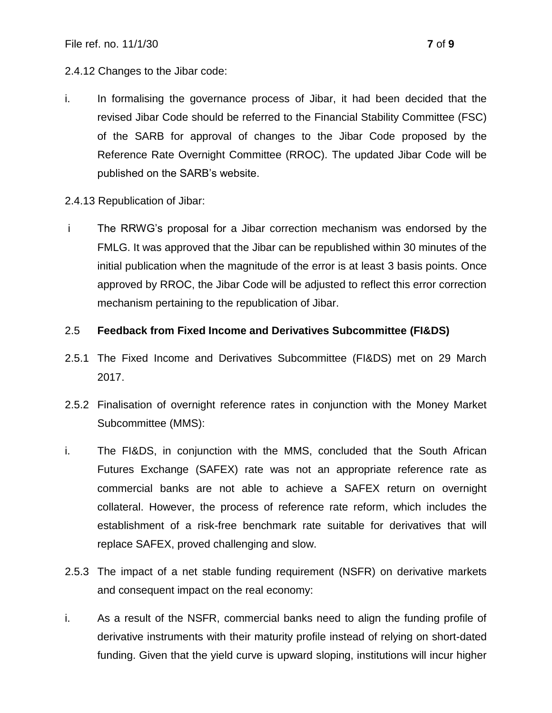#### 2.4.12 Changes to the Jibar code:

- i. In formalising the governance process of Jibar, it had been decided that the revised Jibar Code should be referred to the Financial Stability Committee (FSC) of the SARB for approval of changes to the Jibar Code proposed by the Reference Rate Overnight Committee (RROC). The updated Jibar Code will be published on the SARB's website.
- 2.4.13 Republication of Jibar:
- i The RRWG's proposal for a Jibar correction mechanism was endorsed by the FMLG. It was approved that the Jibar can be republished within 30 minutes of the initial publication when the magnitude of the error is at least 3 basis points. Once approved by RROC, the Jibar Code will be adjusted to reflect this error correction mechanism pertaining to the republication of Jibar.

#### 2.5 **Feedback from Fixed Income and Derivatives Subcommittee (FI&DS)**

- 2.5.1 The Fixed Income and Derivatives Subcommittee (FI&DS) met on 29 March 2017.
- 2.5.2 Finalisation of overnight reference rates in conjunction with the Money Market Subcommittee (MMS):
- i. The FI&DS, in conjunction with the MMS, concluded that the South African Futures Exchange (SAFEX) rate was not an appropriate reference rate as commercial banks are not able to achieve a SAFEX return on overnight collateral. However, the process of reference rate reform, which includes the establishment of a risk-free benchmark rate suitable for derivatives that will replace SAFEX, proved challenging and slow.
- 2.5.3 The impact of a net stable funding requirement (NSFR) on derivative markets and consequent impact on the real economy:
- i. As a result of the NSFR, commercial banks need to align the funding profile of derivative instruments with their maturity profile instead of relying on short-dated funding. Given that the yield curve is upward sloping, institutions will incur higher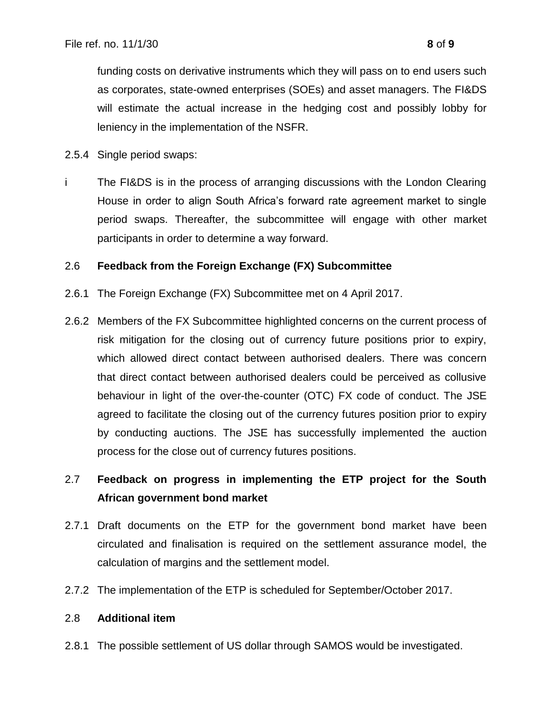funding costs on derivative instruments which they will pass on to end users such as corporates, state-owned enterprises (SOEs) and asset managers. The FI&DS will estimate the actual increase in the hedging cost and possibly lobby for leniency in the implementation of the NSFR.

- 2.5.4 Single period swaps:
- i The FI&DS is in the process of arranging discussions with the London Clearing House in order to align South Africa's forward rate agreement market to single period swaps. Thereafter, the subcommittee will engage with other market participants in order to determine a way forward.

### 2.6 **Feedback from the Foreign Exchange (FX) Subcommittee**

- 2.6.1 The Foreign Exchange (FX) Subcommittee met on 4 April 2017.
- 2.6.2 Members of the FX Subcommittee highlighted concerns on the current process of risk mitigation for the closing out of currency future positions prior to expiry, which allowed direct contact between authorised dealers. There was concern that direct contact between authorised dealers could be perceived as collusive behaviour in light of the over-the-counter (OTC) FX code of conduct. The JSE agreed to facilitate the closing out of the currency futures position prior to expiry by conducting auctions. The JSE has successfully implemented the auction process for the close out of currency futures positions.

## 2.7 **Feedback on progress in implementing the ETP project for the South African government bond market**

- 2.7.1 Draft documents on the ETP for the government bond market have been circulated and finalisation is required on the settlement assurance model, the calculation of margins and the settlement model.
- 2.7.2 The implementation of the ETP is scheduled for September/October 2017.

### 2.8 **Additional item**

2.8.1 The possible settlement of US dollar through SAMOS would be investigated.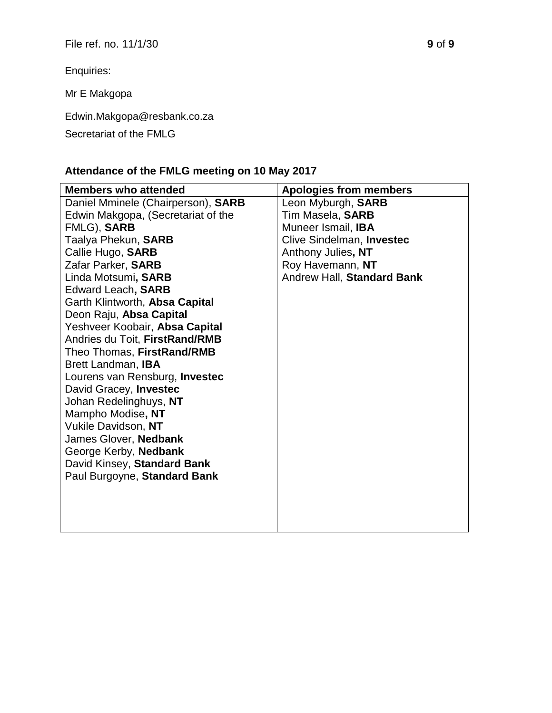Enquiries:

Mr E Makgopa

Edwin.Makgopa@resbank.co.za

### Secretariat of the FMLG

# **Attendance of the FMLG meeting on 10 May 2017**

| <b>Members who attended</b>           | <b>Apologies from members</b> |
|---------------------------------------|-------------------------------|
| Daniel Mminele (Chairperson), SARB    | Leon Myburgh, SARB            |
| Edwin Makgopa, (Secretariat of the    | Tim Masela, SARB              |
| FMLG), SARB                           | Muneer Ismail, IBA            |
| Taalya Phekun, SARB                   | Clive Sindelman, Investec     |
| Callie Hugo, SARB                     | Anthony Julies, NT            |
| Zafar Parker, SARB                    | Roy Havemann, NT              |
| Linda Motsumi, SARB                   | Andrew Hall, Standard Bank    |
| Edward Leach, SARB                    |                               |
| Garth Klintworth, Absa Capital        |                               |
| Deon Raju, Absa Capital               |                               |
| Yeshveer Koobair, Absa Capital        |                               |
| Andries du Toit, FirstRand/RMB        |                               |
| Theo Thomas, FirstRand/RMB            |                               |
| Brett Landman, IBA                    |                               |
| Lourens van Rensburg, <b>Investec</b> |                               |
| David Gracey, Investec                |                               |
| Johan Redelinghuys, NT                |                               |
| Mampho Modise, NT                     |                               |
| Vukile Davidson, NT                   |                               |
| James Glover, Nedbank                 |                               |
| George Kerby, Nedbank                 |                               |
| David Kinsey, Standard Bank           |                               |
| Paul Burgoyne, Standard Bank          |                               |
|                                       |                               |
|                                       |                               |
|                                       |                               |
|                                       |                               |